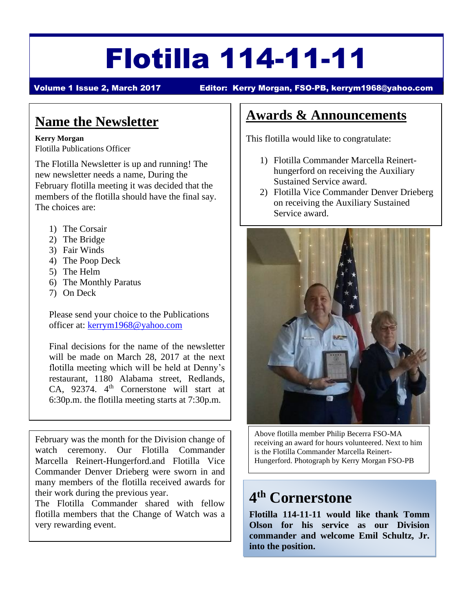# Flotilla 114-11-11

Volume 1 Issue 2, March 2017 Editor: Kerry Morgan, FSO-PB, [kerrym1968@yahoo.com](mailto:kerrym1968@yahoo.com)

## **Name the Newsletter**

#### **Kerry Morgan**

Flotilla Publications Officer

The Flotilla Newsletter is up and running! The new newsletter needs a name, During the February flotilla meeting it was decided that the members of the flotilla should have the final say. The choices are:

- 1) The Corsair
- 2) The Bridge
- 3) Fair Winds
- 4) The Poop Deck
- 5) The Helm
- 6) The Monthly Paratus
- 7) On Deck

Please send your choice to the Publications officer at: [kerrym1968@yahoo.com](mailto:kerrym1968@yahoo.com)

Final decisions for the name of the newsletter will be made on March 28, 2017 at the next flotilla meeting which will be held at Denny's restaurant, 1180 Alabama street, Redlands, CA, 92374. 4<sup>th</sup> Cornerstone will start at 6:30p.m. the flotilla meeting starts at 7:30p.m.

February was the month for the Division change of watch ceremony. Our Flotilla Commander Marcella Reinert-Hungerford.and Flotilla Vice Commander Denver Drieberg were sworn in and many members of the flotilla received awards for their work during the previous year.

The Flotilla Commander shared with fellow flotilla members that the Change of Watch was a very rewarding event.

## **Awards & Announcements**

This flotilla would like to congratulate:

- 1) Flotilla Commander Marcella Reinerthungerford on receiving the Auxiliary Sustained Service award.
- 2) Flotilla Vice Commander Denver Drieberg on receiving the Auxiliary Sustained Service award.



Above flotilla member Philip Becerra FSO-MA receiving an award for hours volunteered. Next to him is the Flotilla Commander Marcella Reinert-Hungerford. Photograph by Kerry Morgan FSO-PB

# **4 th Cornerstone**

**Flotilla 114-11-11 would like thank Tomm Olson for his service as our Division commander and welcome Emil Schultz, Jr. into the position.**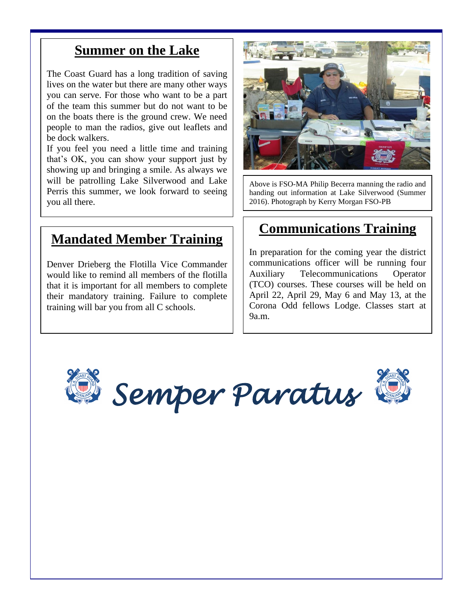#### **Summer on the Lake**

The Coast Guard has a long tradition of saving lives on the water but there are many other ways you can serve. For those who want to be a part of the team this summer but do not want to be on the boats there is the ground crew. We need people to man the radios, give out leaflets and be dock walkers.

If you feel you need a little time and training that's OK, you can show your support just by showing up and bringing a smile. As always we will be patrolling Lake Silverwood and Lake Perris this summer, we look forward to seeing you all there.

#### **Mandated Member Training**

Denver Drieberg the Flotilla Vice Commander would like to remind all members of the flotilla that it is important for all members to complete their mandatory training. Failure to complete training will bar you from all C schools.



Above is FSO-MA Philip Becerra manning the radio and handing out information at Lake Silverwood (Summer 2016). Photograph by Kerry Morgan FSO-PB

## **Communications Training**

In preparation for the coming year the district communications officer will be running four Auxiliary Telecommunications Operator (TCO) courses. These courses will be held on April 22, April 29, May 6 and May 13, at the Corona Odd fellows Lodge. Classes start at 9a.m.